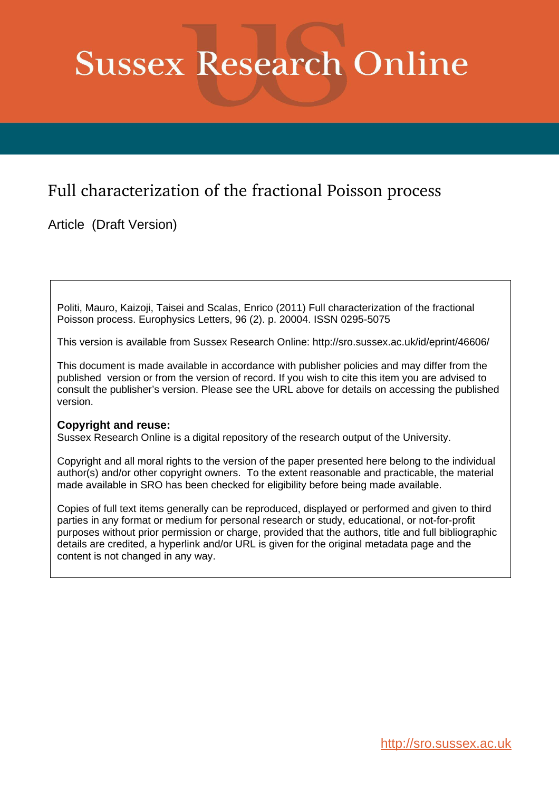## **Sussex Research Online**

## Full characterization of the fractional Poisson process

Article (Draft Version)

Politi, Mauro, Kaizoji, Taisei and Scalas, Enrico (2011) Full characterization of the fractional Poisson process. Europhysics Letters, 96 (2). p. 20004. ISSN 0295-5075

This version is available from Sussex Research Online: http://sro.sussex.ac.uk/id/eprint/46606/

This document is made available in accordance with publisher policies and may differ from the published version or from the version of record. If you wish to cite this item you are advised to consult the publisher's version. Please see the URL above for details on accessing the published version.

## **Copyright and reuse:**

Sussex Research Online is a digital repository of the research output of the University.

Copyright and all moral rights to the version of the paper presented here belong to the individual author(s) and/or other copyright owners. To the extent reasonable and practicable, the material made available in SRO has been checked for eligibility before being made available.

Copies of full text items generally can be reproduced, displayed or performed and given to third parties in any format or medium for personal research or study, educational, or not-for-profit purposes without prior permission or charge, provided that the authors, title and full bibliographic details are credited, a hyperlink and/or URL is given for the original metadata page and the content is not changed in any way.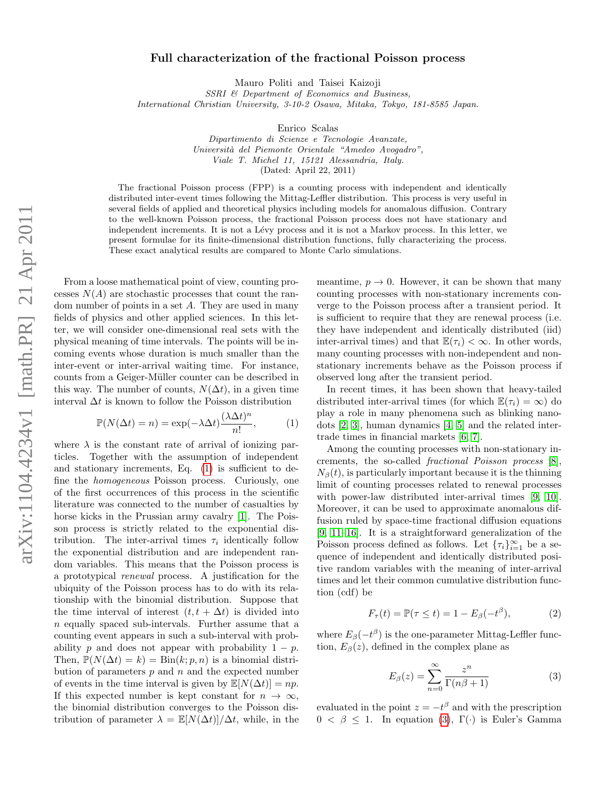## Full characterization of the fractional Poisson process

Mauro Politi and Taisei Kaizoji

SSRI & Department of Economics and Business, International Christian University, 3-10-2 Osawa, Mitaka, Tokyo, 181-8585 Japan.

Enrico Scalas

Dipartimento di Scienze e Tecnologie Avanzate, Universit`a del Piemonte Orientale "Amedeo Avogadro", Viale T. Michel 11, 15121 Alessandria, Italy. (Dated: April 22, 2011)

The fractional Poisson process (FPP) is a counting process with independent and identically distributed inter-event times following the Mittag-Leffler distribution. This process is very useful in several fields of applied and theoretical physics including models for anomalous diffusion. Contrary to the well-known Poisson process, the fractional Poisson process does not have stationary and independent increments. It is not a Lévy process and it is not a Markov process. In this letter, we present formulae for its finite-dimensional distribution functions, fully characterizing the process. These exact analytical results are compared to Monte Carlo simulations.

From a loose mathematical point of view, counting processes  $N(A)$  are stochastic processes that count the random number of points in a set A. They are used in many fields of physics and other applied sciences. In this letter, we will consider one-dimensional real sets with the physical meaning of time intervals. The points will be incoming events whose duration is much smaller than the inter-event or inter-arrival waiting time. For instance, counts from a Geiger-Müller counter can be described in this way. The number of counts,  $N(\Delta t)$ , in a given time interval  $\Delta t$  is known to follow the Poisson distribution

<span id="page-1-0"></span>
$$
\mathbb{P}(N(\Delta t) = n) = \exp(-\lambda \Delta t) \frac{(\lambda \Delta t)^n}{n!},\tag{1}
$$

where  $\lambda$  is the constant rate of arrival of ionizing particles. Together with the assumption of independent and stationary increments, Eq. [\(1\)](#page-1-0) is sufficient to define the homogeneous Poisson process. Curiously, one of the first occurrences of this process in the scientific literature was connected to the number of casualties by horse kicks in the Prussian army cavalry [\[1\]](#page-7-0). The Poisson process is strictly related to the exponential distribution. The inter-arrival times  $\tau_i$  identically follow the exponential distribution and are independent random variables. This means that the Poisson process is a prototypical renewal process. A justification for the ubiquity of the Poisson process has to do with its relationship with the binomial distribution. Suppose that the time interval of interest  $(t, t + \Delta t)$  is divided into n equally spaced sub-intervals. Further assume that a counting event appears in such a sub-interval with probability p and does not appear with probability  $1 - p$ . Then,  $\mathbb{P}(N(\Delta t) = k) = \text{Bin}(k; p, n)$  is a binomial distribution of parameters  $p$  and  $n$  and the expected number of events in the time interval is given by  $\mathbb{E}[N(\Delta t)]=np$ . If this expected number is kept constant for  $n \to \infty$ , the binomial distribution converges to the Poisson distribution of parameter  $\lambda = \mathbb{E}[N(\Delta t)]/\Delta t$ , while, in the

meantime,  $p \to 0$ . However, it can be shown that many counting processes with non-stationary increments converge to the Poisson process after a transient period. It is sufficient to require that they are renewal process (i.e. they have independent and identically distributed (iid) inter-arrival times) and that  $\mathbb{E}(\tau_i) < \infty$ . In other words, many counting processes with non-independent and nonstationary increments behave as the Poisson process if observed long after the transient period.

In recent times, it has been shown that heavy-tailed distributed inter-arrival times (for which  $\mathbb{E}(\tau_i) = \infty$ ) do play a role in many phenomena such as blinking nanodots [\[2,](#page-7-1) [3\]](#page-7-2), human dynamics [\[4,](#page-7-3) [5\]](#page-7-4) and the related intertrade times in financial markets [\[6,](#page-7-5) [7\]](#page-7-6).

Among the counting processes with non-stationary increments, the so-called fractional Poisson process [\[8\]](#page-7-7),  $N_{\beta}(t)$ , is particularly important because it is the thinning limit of counting processes related to renewal processes with power-law distributed inter-arrival times [\[9,](#page-7-8) [10\]](#page-7-9). Moreover, it can be used to approximate anomalous diffusion ruled by space-time fractional diffusion equations [\[9,](#page-7-8) [11–](#page-7-10)[16\]](#page-7-11). It is a straightforward generalization of the Poisson process defined as follows. Let  $\{\tau_i\}_{i=1}^{\infty}$  be a sequence of independent and identically distributed positive random variables with the meaning of inter-arrival times and let their common cumulative distribution function (cdf) be

$$
F_{\tau}(t) = \mathbb{P}(\tau \le t) = 1 - E_{\beta}(-t^{\beta}), \tag{2}
$$

where  $E_{\beta}(-t^{\beta})$  is the one-parameter Mittag-Leffler function,  $E_\beta(z)$ , defined in the complex plane as

<span id="page-1-1"></span>
$$
E_{\beta}(z) = \sum_{n=0}^{\infty} \frac{z^n}{\Gamma(n\beta + 1)}
$$
(3)

evaluated in the point  $z = -t^{\beta}$  and with the prescription  $0 < \beta \leq 1$ . In equation [\(3\)](#page-1-1), Γ(·) is Euler's Gamma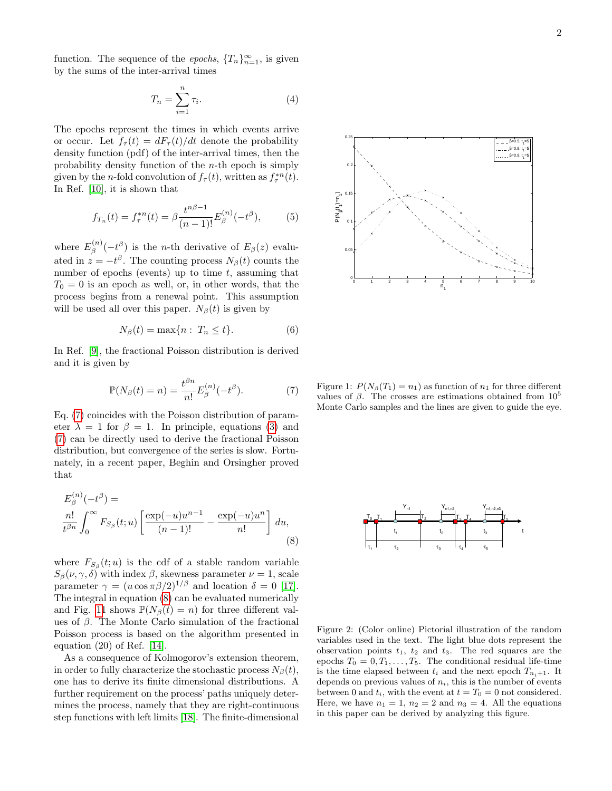function. The sequence of the *epochs*,  ${T_n}_{n=1}^{\infty}$ , is given by the sums of the inter-arrival times

$$
T_n = \sum_{i=1}^n \tau_i.
$$
\n<sup>(4)</sup>

The epochs represent the times in which events arrive or occur. Let  $f_{\tau}(t) = dF_{\tau}(t)/dt$  denote the probability density function (pdf) of the inter-arrival times, then the probability density function of the  $n$ -th epoch is simply given by the *n*-fold convolution of  $f_{\tau}(t)$ , written as  $f_{\tau}^{*n}(t)$ . In Ref. [\[10\]](#page-7-9), it is shown that

$$
f_{T_n}(t) = f_{\tau}^{*n}(t) = \beta \frac{t^{n\beta - 1}}{(n - 1)!} E_{\beta}^{(n)}(-t^{\beta}), \tag{5}
$$

where  $E_{\beta}^{(n)}$  $\binom{n}{\beta}(-t^{\beta})$  is the *n*-th derivative of  $E_{\beta}(z)$  evaluated in  $z = -t^{\beta}$ . The counting process  $N_{\beta}(t)$  counts the number of epochs (events) up to time  $t$ , assuming that  $T_0 = 0$  is an epoch as well, or, in other words, that the process begins from a renewal point. This assumption will be used all over this paper.  $N_{\beta}(t)$  is given by

$$
N_{\beta}(t) = \max\{n : T_n \le t\}.
$$
 (6)

In Ref. [\[9\]](#page-7-8), the fractional Poisson distribution is derived and it is given by

<span id="page-2-0"></span>
$$
\mathbb{P}(N_{\beta}(t)=n)=\frac{t^{\beta n}}{n!}E_{\beta}^{(n)}(-t^{\beta}).\tag{7}
$$

Eq. [\(7\)](#page-2-0) coincides with the Poisson distribution of parameter  $\lambda = 1$  for  $\beta = 1$ . In principle, equations [\(3\)](#page-1-1) and [\(7\)](#page-2-0) can be directly used to derive the fractional Poisson distribution, but convergence of the series is slow. Fortunately, in a recent paper, Beghin and Orsingher proved that

$$
E_{\beta}^{(n)}(-t^{\beta}) =
$$
  

$$
\frac{n!}{t^{\beta n}} \int_0^{\infty} F_{S_{\beta}}(t; u) \left[ \frac{\exp(-u)u^{n-1}}{(n-1)!} - \frac{\exp(-u)u^n}{n!} \right] du,
$$
  
(8)

where  $F_{S_{\beta}}(t; u)$  is the cdf of a stable random variable  $S_{\beta}(\nu, \gamma, \delta)$  with index  $\beta$ , skewness parameter  $\nu = 1$ , scale parameter  $\gamma = (u \cos \pi \beta/2)^{1/\beta}$  and location  $\delta = 0$  [\[17\]](#page-7-12). The integral in equation [\(8\)](#page-2-1) can be evaluated numerically and Fig. [11](#page-2-2) shows  $\mathbb{P}(N_{\beta}(t) = n)$  for three different values of  $\beta$ . The Monte Carlo simulation of the fractional Poisson process is based on the algorithm presented in equation (20) of Ref. [\[14\]](#page-7-13).

As a consequence of Kolmogorov's extension theorem, in order to fully characterize the stochastic process  $N_{\beta}(t)$ , one has to derive its finite dimensional distributions. A further requirement on the process' paths uniquely determines the process, namely that they are right-continuous step functions with left limits [\[18\]](#page-7-14). The finite-dimensional



<span id="page-2-2"></span>Figure 1:  $P(N_\beta(T_1) = n_1)$  as function of  $n_1$  for three different values of β. The crosses are estimations obtained from  $10<sup>5</sup>$ Monte Carlo samples and the lines are given to guide the eye.

<span id="page-2-1"></span>

<span id="page-2-3"></span>Figure 2: (Color online) Pictorial illustration of the random variables used in the text. The light blue dots represent the observation points  $t_1$ ,  $t_2$  and  $t_3$ . The red squares are the epochs  $T_0 = 0, T_1, \ldots, T_5$ . The conditional residual life-time is the time elapsed between  $t_i$  and the next epoch  $T_{n_i+1}$ . It depends on previous values of  $n_i$ , this is the number of events between 0 and  $t_i$ , with the event at  $t = T_0 = 0$  not considered. Here, we have  $n_1 = 1$ ,  $n_2 = 2$  and  $n_3 = 4$ . All the equations in this paper can be derived by analyzing this figure.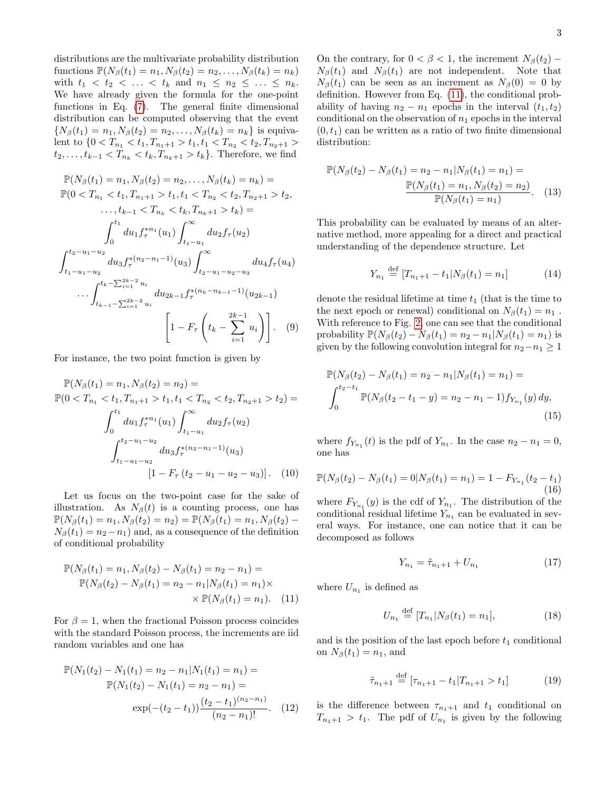distributions are the multivariate probability distribution functions  $\mathbb{P}(N_{\beta}(t_1) = n_1, N_{\beta}(t_2) = n_2, \ldots, N_{\beta}(t_k) = n_k)$ with  $t_1 < t_2 < \ldots < t_k$  and  $n_1 \leq n_2 \leq \ldots \leq n_k$ . We have already given the formula for the one-point functions in Eq. [\(7\)](#page-2-0). The general finite dimensional distribution can be computed observing that the event  ${N_\beta(t_1) = n_1, N_\beta(t_2) = n_2, ..., N_\beta(t_k) = n_k}$  is equivalent to  $\{0 < T_{n_1} < t_1, T_{n_1+1} > t_1, t_1 < T_{n_2} < t_2, T_{n_2+1} > t_2\}$  $t_2, \ldots, t_{k-1} < T_{n_k} < t_k, T_{n_k+1} > t_k$ . Therefore, we find

$$
\mathbb{P}(N_{\beta}(t_{1}) = n_{1}, N_{\beta}(t_{2}) = n_{2}, ..., N_{\beta}(t_{k}) = n_{k}) =
$$
\n
$$
\mathbb{P}(0 < T_{n_{1}} < t_{1}, T_{n_{1}+1} > t_{1}, t_{1} < T_{n_{2}} < t_{2}, T_{n_{2}+1} > t_{2},
$$
\n
$$
\dots, t_{k-1} < T_{n_{k}} < t_{k}, T_{n_{k}+1} > t_{k}) =
$$
\n
$$
\int_{0}^{t_{1}} du_{1} f_{\tau}^{*n_{1}}(u_{1}) \int_{t_{1}-u_{1}}^{\infty} du_{2} f_{\tau}(u_{2})
$$
\n
$$
\int_{t_{1}-u_{1}-u_{2}}^{t_{2}-u_{1}-u_{2}} du_{3} f_{\tau}^{*(n_{2}-n_{1}-1)}(u_{3}) \int_{t_{2}-u_{1}-u_{2}-u_{3}}^{t_{2}} du_{4} f_{\tau}(u_{4})
$$
\n
$$
\dots \int_{t_{k-1}-\sum_{i=1}^{2k-2} u_{i}}^{t_{k}-\sum_{i=1}^{2k-2} u_{i}} du_{2k-1} f_{\tau}^{*(n_{k}-n_{k-1}-1)}(u_{2k-1})
$$
\n
$$
\left[1 - F_{\tau} \left(t_{k}-\sum_{i=1}^{2k-1} u_{i}\right)\right]. \quad (9)
$$

For instance, the two point function is given by

$$
\mathbb{P}(N_{\beta}(t_1) = n_1, N_{\beta}(t_2) = n_2) =
$$
  
\n
$$
\mathbb{P}(0 < T_{n_1} < t_1, T_{n_1+1} > t_1, t_1 < T_{n_2} < t_2, T_{n_2+1} > t_2) =
$$
  
\n
$$
\int_0^{t_1} du_1 f_{\tau}^{*n_1}(u_1) \int_{t_1-u_1}^{\infty} du_2 f_{\tau}(u_2)
$$
  
\n
$$
\int_{t_1-u_1-u_2}^{t_2-u_1-u_2} du_3 f_{\tau}^{*(n_2-n_1-1)}(u_3)
$$
  
\n
$$
[1 - F_{\tau}(t_2 - u_1 - u_2 - u_3)]. \quad (10)
$$

Let us focus on the two-point case for the sake of illustration. As  $N_\beta(t)$  is a counting process, one has  $\mathbb{P}(N_{\beta}(t_1)=n_1, N_{\beta}(t_2)=n_2)=\mathbb{P}(N_{\beta}(t_1)=n_1, N_{\beta}(t_2) N_{\beta}(t_1) = n_2 - n_1$  and, as a consequence of the definition of conditional probability

$$
\mathbb{P}(N_{\beta}(t_1) = n_1, N_{\beta}(t_2) - N_{\beta}(t_1) = n_2 - n_1) =
$$
  
\n
$$
\mathbb{P}(N_{\beta}(t_2) - N_{\beta}(t_1) = n_2 - n_1 | N_{\beta}(t_1) = n_1) \times
$$
  
\n
$$
\times \mathbb{P}(N_{\beta}(t_1) = n_1).
$$
 (11)

For  $\beta = 1$ , when the fractional Poisson process coincides with the standard Poisson process, the increments are iid random variables and one has

$$
\mathbb{P}(N_1(t_2) - N_1(t_1) = n_2 - n_1 | N_1(t_1) = n_1) =
$$
  
\n
$$
\mathbb{P}(N_1(t_2) - N_1(t_1) = n_2 - n_1) =
$$
  
\n
$$
\exp(-(t_2 - t_1)) \frac{(t_2 - t_1)^{(n_2 - n_1)}}{(n_2 - n_1)!}.
$$
 (12)

On the contrary, for  $0 < \beta < 1$ , the increment  $N_{\beta}(t_2)$  –  $N_{\beta}(t_1)$  and  $N_{\beta}(t_1)$  are not independent. Note that  $N_{\beta}(t_1)$  can be seen as an increment as  $N_{\beta}(0) = 0$  by definition. However from Eq. [\(11\)](#page-3-0), the conditional probability of having  $n_2 - n_1$  epochs in the interval  $(t_1, t_2)$ conditional on the observation of  $n_1$  epochs in the interval  $(0, t_1)$  can be written as a ratio of two finite dimensional distribution:

$$
\mathbb{P}(N_{\beta}(t_2) - N_{\beta}(t_1) = n_2 - n_1 | N_{\beta}(t_1) = n_1) =
$$
  

$$
\frac{\mathbb{P}(N_{\beta}(t_1) = n_1, N_{\beta}(t_2) = n_2)}{\mathbb{P}(N_{\beta}(t_1) = n_1)}.
$$
 (13)

This probability can be evaluated by means of an alternative method, more appealing for a direct and practical understanding of the dependence structure. Let

$$
Y_{n_1} \stackrel{\text{def}}{=} [T_{n_1+1} - t_1 | N_\beta(t_1) = n_1] \tag{14}
$$

denote the residual lifetime at time  $t_1$  (that is the time to the next epoch or renewal) conditional on  $N_\beta(t_1) = n_1$ . With reference to Fig. [2,](#page-2-3) one can see that the conditional probability  $\mathbb{P}(N_{\beta}(t_2) - N_{\beta}(t_1) = n_2 - n_1 | N_{\beta}(t_1) = n_1)$  is given by the following convolution integral for  $n_2-n_1 \geq 1$ 

$$
\mathbb{P}(N_{\beta}(t_2) - N_{\beta}(t_1) = n_2 - n_1 | N_{\beta}(t_1) = n_1) =
$$
  

$$
\int_0^{t_2 - t_1} \mathbb{P}(N_{\beta}(t_2 - t_1 - y) = n_2 - n_1 - 1) f_{Y_{n_1}}(y) dy,
$$
  
(15)

where  $f_{Y_{n_1}}(t)$  is the pdf of  $Y_{n_1}$ . In the case  $n_2 - n_1 = 0$ , one has

$$
\mathbb{P}(N_{\beta}(t_2) - N_{\beta}(t_1) = 0 | N_{\beta}(t_1) = n_1) = 1 - F_{Y_{n_1}}(t_2 - t_1)
$$
\n(16)

where  $F_{Y_{n_1}}(y)$  is the cdf of  $Y_{n_1}$ . The distribution of the conditional residual lifetime  $Y_{n_1}$  can be evaluated in several ways. For instance, one can notice that it can be decomposed as follows

<span id="page-3-2"></span><span id="page-3-1"></span>
$$
Y_{n_1} = \tilde{\tau}_{n_1+1} + U_{n_1} \tag{17}
$$

<span id="page-3-0"></span>where  $U_{n_1}$  is defined as

$$
U_{n_1} \stackrel{\text{def}}{=} [T_{n_1} | N_\beta(t_1) = n_1], \tag{18}
$$

and is the position of the last epoch before  $t_1$  conditional on  $N_\beta(t_1) = n_1$ , and

$$
\tilde{\tau}_{n_1+1} \stackrel{\text{def}}{=} [\tau_{n_1+1} - t_1 | T_{n_1+1} > t_1] \tag{19}
$$

is the difference between  $\tau_{n_1+1}$  and  $t_1$  conditional on  $T_{n_1+1} > t_1$ . The pdf of  $U_{n_1}$  is given by the following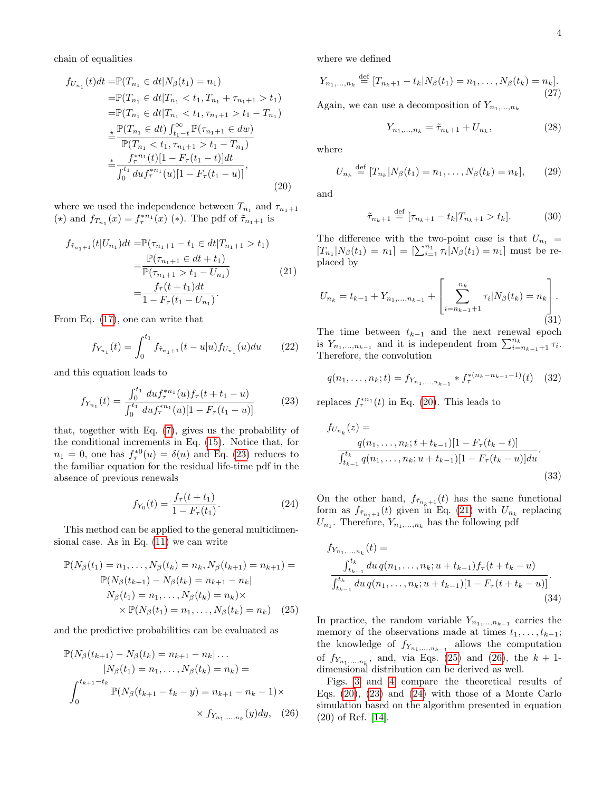chain of equalities

$$
f_{U_{n_1}}(t)dt = \mathbb{P}(T_{n_1} \in dt | N_{\beta}(t_1) = n_1)
$$
  
\n
$$
= \mathbb{P}(T_{n_1} \in dt | T_{n_1} < t_1, T_{n_1} + \tau_{n_1+1} > t_1)
$$
  
\n
$$
= \mathbb{P}(T_{n_1} \in dt | T_{n_1} < t_1, \tau_{n_1+1} > t_1 - T_{n_1})
$$
  
\n
$$
\leq \frac{\mathbb{P}(T_{n_1} \in dt) \int_{t_1 - t}^{\infty} \mathbb{P}(\tau_{n_1+1} \in dw)}{\mathbb{P}(T_{n_1} < t_1, \tau_{n_1+1} > t_1 - T_{n_1})}
$$
  
\n
$$
\leq \frac{f_{\tau}^{*n_1}(t)[1 - F_{\tau}(t_1 - t)]dt}{\int_{0}^{t_1} du f_{\tau}^{*n_1}(u)[1 - F_{\tau}(t_1 - u)]},
$$
\n(20)

where we used the independence between  $T_{n_1}$  and  $\tau_{n_1+1}$ (\*) and  $f_{T_{n_1}}(x) = f_{\tau}^{*n_1}(x)$  (\*). The pdf of  $\tilde{\tau}_{n_1+1}$  is

$$
f_{\tilde{\tau}_{n_1+1}}(t|U_{n_1})dt = \mathbb{P}(\tau_{n_1+1} - t_1 \in dt | T_{n_1+1} > t_1)
$$
  

$$
= \frac{\mathbb{P}(\tau_{n_1+1} \in dt + t_1)}{\mathbb{P}(\tau_{n_1+1} > t_1 - U_{n_1})}
$$
  

$$
= \frac{f_\tau(t + t_1)dt}{1 - F_\tau(t_1 - U_{n_1})}.
$$
 (21)

From Eq. [\(17\)](#page-3-1), one can write that

$$
f_{Y_{n_1}}(t) = \int_0^{t_1} f_{\tilde{\tau}_{n_1+1}}(t - u|u) f_{U_{n_1}}(u) du \qquad (22)
$$

and this equation leads to

<span id="page-4-0"></span>
$$
f_{Y_{n_1}}(t) = \frac{\int_0^{t_1} du f_\tau^{*n_1}(u) f_\tau(t + t_1 - u)}{\int_0^{t_1} du f_\tau^{*n_1}(u) [1 - F_\tau(t_1 - u)]}
$$
(23)

that, together with Eq. [\(7\)](#page-2-0), gives us the probability of the conditional increments in Eq. [\(15\)](#page-3-2). Notice that, for  $n_1 = 0$ , one has  $f_{\tau}^{*0}(u) = \delta(u)$  and Eq. [\(23\)](#page-4-0) reduces to the familiar equation for the residual life-time pdf in the absence of previous renewals

<span id="page-4-5"></span>
$$
f_{Y_0}(t) = \frac{f_\tau(t + t_1)}{1 - F_\tau(t_1)}.\tag{24}
$$

This method can be applied to the general multidimensional case. As in Eq. [\(11\)](#page-3-0) we can write

$$
\mathbb{P}(N_{\beta}(t_1) = n_1, \dots, N_{\beta}(t_k) = n_k, N_{\beta}(t_{k+1}) = n_{k+1}) =
$$
  
\n
$$
\mathbb{P}(N_{\beta}(t_{k+1}) - N_{\beta}(t_k) = n_{k+1} - n_k |
$$
  
\n
$$
N_{\beta}(t_1) = n_1, \dots, N_{\beta}(t_k) = n_k) \times
$$
  
\n
$$
\times \mathbb{P}(N_{\beta}(t_1) = n_1, \dots, N_{\beta}(t_k) = n_k) \quad (25)
$$

and the predictive probabilities can be evaluated as

$$
\mathbb{P}(N_{\beta}(t_{k+1}) - N_{\beta}(t_k) = n_{k+1} - n_k | \dots
$$
  
\n
$$
|N_{\beta}(t_1) = n_1, \dots, N_{\beta}(t_k) = n_k) =
$$
  
\n
$$
\int_0^{t_{k+1}-t_k} \mathbb{P}(N_{\beta}(t_{k+1}-t_k-y) = n_{k+1} - n_k - 1) \times
$$
  
\n
$$
\times f_{Y_{n_1, \dots, n_k}}(y) dy, \quad (26)
$$

where we defined

$$
Y_{n_1,...,n_k} \stackrel{\text{def}}{=} [T_{n_k+1} - t_k | N_\beta(t_1) = n_1, ..., N_\beta(t_k) = n_k].
$$
\n(27)

Again, we can use a decomposition of  $Y_{n_1,...,n_k}$ 

$$
Y_{n_1,...,n_k} = \tilde{\tau}_{n_k+1} + U_{n_k},\tag{28}
$$

where

$$
U_{n_k} \stackrel{\text{def}}{=} [T_{n_k} | N_\beta(t_1) = n_1, \dots, N_\beta(t_k) = n_k], \qquad (29)
$$

<span id="page-4-1"></span>and

$$
\tilde{\tau}_{n_k+1} \stackrel{\text{def}}{=} [\tau_{n_k+1} - t_k | T_{n_k+1} > t_k]. \tag{30}
$$

<span id="page-4-2"></span>The difference with the two-point case is that  $U_{n_1} =$  $[T_{n_1}|N_{\beta}(t_1) = n_1] = [\sum_{i=1}^{n_1} \tau_i]N_{\beta}(t_1) = n_1]$  must be replaced by

$$
U_{n_k} = t_{k-1} + Y_{n_1,...,n_{k-1}} + \left[ \sum_{i=n_{k-1}+1}^{n_k} \tau_i | N_\beta(t_k) = n_k \right].
$$
\n(31)

The time between  $t_{k-1}$  and the next renewal epoch is  $Y_{n_1,...,n_{k-1}}$  and it is independent from  $\sum_{i=n_{k-1}+1}^{n_k} \tau_i$ . Therefore, the convolution

$$
q(n_1, \ldots, n_k; t) = f_{Y_{n_1, \ldots, n_{k-1}}} * f_{\tau}^{*(n_k - n_{k-1} - 1)}(t) \quad (32)
$$

replaces  $f_{\tau}^{*n_1}(t)$  in Eq. [\(20\)](#page-4-1). This leads to

$$
f_{U_{n_k}}(z) =
$$
  
\n
$$
\frac{q(n_1, \dots, n_k; t + t_{k-1})[1 - F_{\tau}(t_k - t)]}{\int_{t_{k-1}}^{t_k} q(n_1, \dots, n_k; u + t_{k-1})[1 - F_{\tau}(t_k - u)]du}.
$$
\n(33)

On the other hand,  $f_{\tilde{\tau}_{n_k+1}}(t)$  has the same functional form as  $f_{\tilde{\tau}_{n_1+1}}(t)$  given in Eq. [\(21\)](#page-4-2) with  $U_{n_k}$  replacing  $U_{n_1}$ . Therefore,  $Y_{n_1,...,n_k}$  has the following pdf

$$
f_{Y_{n_1,...,n_k}}(t) = \frac{\int_{t_{k-1}}^{t_k} du \, q(n_1,...,n_k; u+t_{k-1}) f_\tau(t+t_k-u)}{\int_{t_{k-1}}^{t_k} du \, q(n_1,...,n_k; u+t_{k-1}) [1 - F_\tau(t+t_k-u)]}.
$$
\n(34)

<span id="page-4-3"></span>In practice, the random variable  $Y_{n_1,\ldots,n_{k-1}}$  carries the memory of the observations made at times  $t_1, \ldots, t_{k-1}$ ; the knowledge of  $f_{Y_{n_1,...,n_{k-1}}}$  allows the computation of  $f_{Y_{n_1,...,n_k}}$ , and, via Eqs. [\(25\)](#page-4-3) and [\(26\)](#page-4-4), the  $k+1$ dimensional distribution can be derived as well.

<span id="page-4-4"></span>Figs. [3](#page-5-0) and [4](#page-6-0) compare the theoretical results of Eqs. [\(20\)](#page-4-1), [\(23\)](#page-4-0) and [\(24\)](#page-4-5) with those of a Monte Carlo simulation based on the algorithm presented in equation (20) of Ref. [\[14\]](#page-7-13).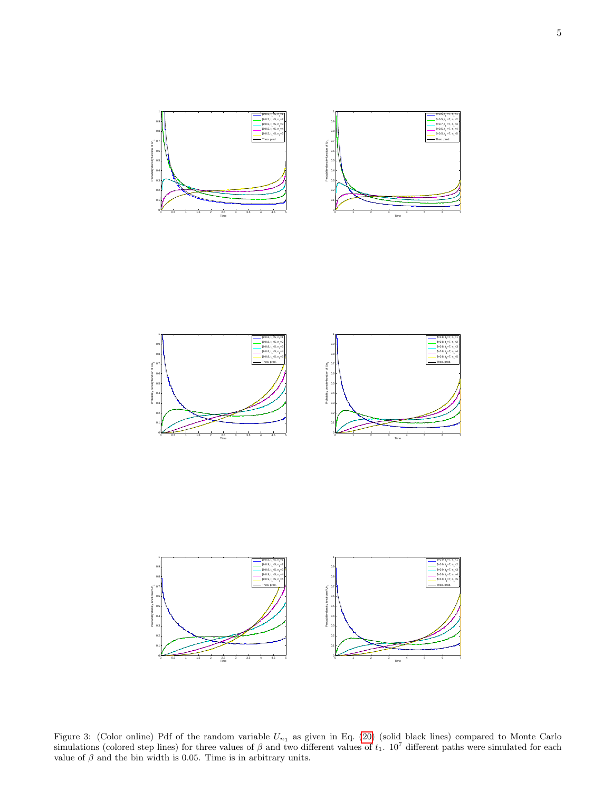





<span id="page-5-0"></span>Figure 3: (Color online) Pdf of the random variable  $U_{n_1}$  as given in Eq. [\(20\)](#page-4-1) (solid black lines) compared to Monte Carlo simulations (colored step lines) for three values of  $\beta$  and two different values of  $t_1$ . 10<sup>7</sup> different paths were simulated for each value of  $\beta$  and the bin width is 0.05. Time is in arbitrary units.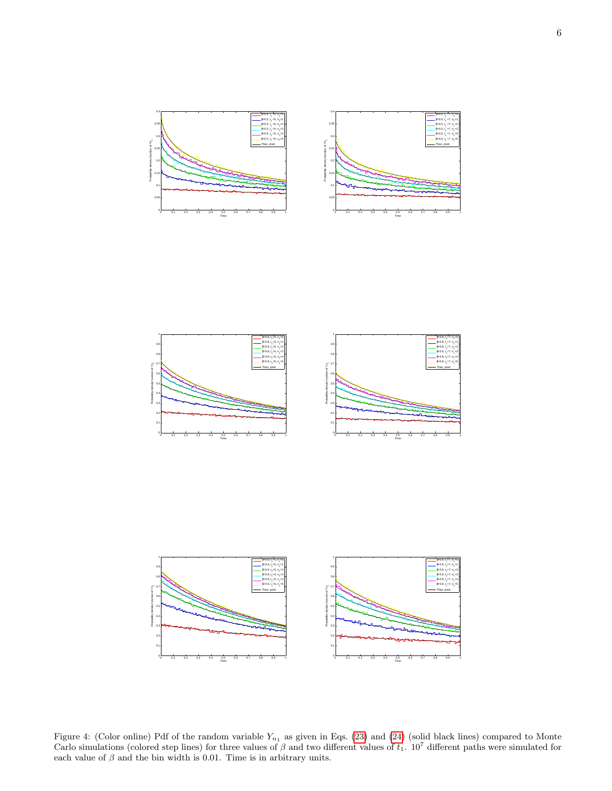$-7, n, -0$ 

 $-7, n, -1$ 

 $-7, n, -2$ 

 $-7, n, -3$ 

 $-7, n, -4$ 

 $-7, n, -5$ 





<span id="page-6-0"></span>Figure 4: (Color online) Pdf of the random variable  $Y_{n_1}$  as given in Eqs. [\(23\)](#page-4-0) and [\(24\)](#page-4-5) (solid black lines) compared to Monte Carlo simulations (colored step lines) for three values of  $\beta$  and two different values of  $t_1$ . 10<sup>7</sup> different paths were simulated for each value of  $\beta$  and the bin width is 0.01. Time is in arbitrary units.